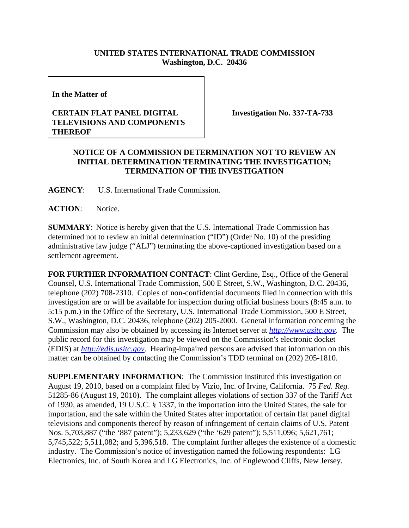## **UNITED STATES INTERNATIONAL TRADE COMMISSION Washington, D.C. 20436**

**In the Matter of** 

## **CERTAIN FLAT PANEL DIGITAL TELEVISIONS AND COMPONENTS THEREOF**

**Investigation No. 337-TA-733**

## **NOTICE OF A COMMISSION DETERMINATION NOT TO REVIEW AN INITIAL DETERMINATION TERMINATING THE INVESTIGATION; TERMINATION OF THE INVESTIGATION**

**AGENCY**: U.S. International Trade Commission.

ACTION: Notice.

**SUMMARY**: Notice is hereby given that the U.S. International Trade Commission has determined not to review an initial determination ("ID") (Order No. 10) of the presiding administrative law judge ("ALJ") terminating the above-captioned investigation based on a settlement agreement.

**FOR FURTHER INFORMATION CONTACT**: Clint Gerdine, Esq., Office of the General Counsel, U.S. International Trade Commission, 500 E Street, S.W., Washington, D.C. 20436, telephone (202) 708-2310. Copies of non-confidential documents filed in connection with this investigation are or will be available for inspection during official business hours (8:45 a.m. to 5:15 p.m.) in the Office of the Secretary, U.S. International Trade Commission, 500 E Street, S.W., Washington, D.C. 20436, telephone (202) 205-2000. General information concerning the Commission may also be obtained by accessing its Internet server at *http://www.usitc.gov*. The public record for this investigation may be viewed on the Commission's electronic docket (EDIS) at *http://edis.usitc.gov*. Hearing-impaired persons are advised that information on this matter can be obtained by contacting the Commission's TDD terminal on (202) 205-1810.

**SUPPLEMENTARY INFORMATION:** The Commission instituted this investigation on August 19, 2010, based on a complaint filed by Vizio, Inc. of Irvine, California. 75 *Fed. Reg.* 51285-86 (August 19, 2010). The complaint alleges violations of section 337 of the Tariff Act of 1930, as amended, 19 U.S.C. § 1337, in the importation into the United States, the sale for importation, and the sale within the United States after importation of certain flat panel digital televisions and components thereof by reason of infringement of certain claims of U.S. Patent Nos. 5,703,887 ("the '887 patent"); 5,233,629 ("the '629 patent"); 5,511,096; 5,621,761; 5,745,522; 5,511,082; and 5,396,518. The complaint further alleges the existence of a domestic industry. The Commission's notice of investigation named the following respondents: LG Electronics, Inc. of South Korea and LG Electronics, Inc. of Englewood Cliffs, New Jersey.